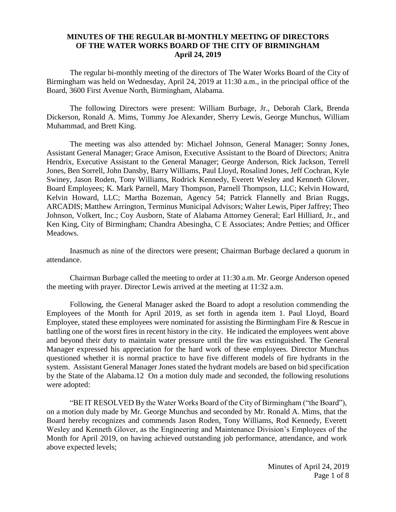## **MINUTES OF THE REGULAR BI-MONTHLY MEETING OF DIRECTORS OF THE WATER WORKS BOARD OF THE CITY OF BIRMINGHAM April 24, 2019**

The regular bi-monthly meeting of the directors of The Water Works Board of the City of Birmingham was held on Wednesday, April 24, 2019 at 11:30 a.m., in the principal office of the Board, 3600 First Avenue North, Birmingham, Alabama.

The following Directors were present: William Burbage, Jr., Deborah Clark, Brenda Dickerson, Ronald A. Mims, Tommy Joe Alexander, Sherry Lewis, George Munchus, William Muhammad, and Brett King.

The meeting was also attended by: Michael Johnson, General Manager; Sonny Jones, Assistant General Manager; Grace Amison, Executive Assistant to the Board of Directors; Anitra Hendrix, Executive Assistant to the General Manager; George Anderson, Rick Jackson, Terrell Jones, Ben Sorrell, John Dansby, Barry Williams, Paul Lloyd, Rosalind Jones, Jeff Cochran, Kyle Swiney, Jason Roden, Tony Williams, Rodrick Kennedy, Everett Wesley and Kenneth Glover, Board Employees; K. Mark Parnell, Mary Thompson, Parnell Thompson, LLC; Kelvin Howard, Kelvin Howard, LLC; Martha Bozeman, Agency 54; Patrick Flannelly and Brian Ruggs, ARCADIS; Matthew Arrington, Terminus Municipal Advisors; Walter Lewis, Piper Jaffrey; Theo Johnson, Volkert, Inc.; Coy Ausborn, State of Alabama Attorney General; Earl Hilliard, Jr., and Ken King, City of Birmingham; Chandra Abesingha, C E Associates; Andre Petties; and Officer Meadows.

Inasmuch as nine of the directors were present; Chairman Burbage declared a quorum in attendance.

Chairman Burbage called the meeting to order at 11:30 a.m. Mr. George Anderson opened the meeting with prayer. Director Lewis arrived at the meeting at 11:32 a.m.

Following, the General Manager asked the Board to adopt a resolution commending the Employees of the Month for April 2019, as set forth in agenda item 1. Paul Lloyd, Board Employee, stated these employees were nominated for assisting the Birmingham Fire & Rescue in battling one of the worst fires in recent history in the city. He indicated the employees went above and beyond their duty to maintain water pressure until the fire was extinguished. The General Manager expressed his appreciation for the hard work of these employees. Director Munchus questioned whether it is normal practice to have five different models of fire hydrants in the system. Assistant General Manager Jones stated the hydrant models are based on bid specification by the State of the Alabama.12 On a motion duly made and seconded, the following resolutions were adopted:

"BE IT RESOLVED By the Water Works Board of the City of Birmingham ("the Board"), on a motion duly made by Mr. George Munchus and seconded by Mr. Ronald A. Mims, that the Board hereby recognizes and commends Jason Roden, Tony Williams, Rod Kennedy, Everett Wesley and Kenneth Glover, as the Engineering and Maintenance Division's Employees of the Month for April 2019, on having achieved outstanding job performance, attendance, and work above expected levels;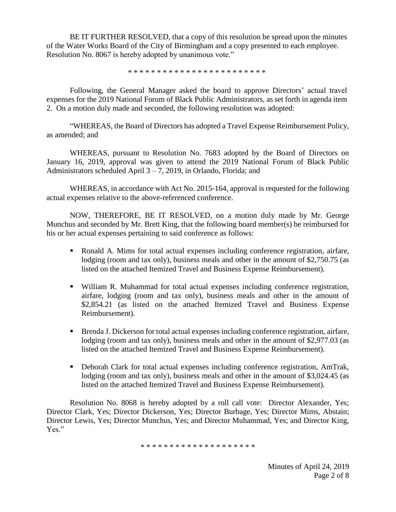BE IT FURTHER RESOLVED, that a copy of this resolution be spread upon the minutes of the Water Works Board of the City of Birmingham and a copy presented to each employee. Resolution No. 8067 is hereby adopted by unanimous vote."

\* \* \* \* \* \* \* \* \* \* \* \* \* \* \* \* \* \* \* \* \* \* \* \*

Following, the General Manager asked the board to approve Directors' actual travel expenses for the 2019 National Forum of Black Public Administrators, as set forth in agenda item 2. On a motion duly made and seconded, the following resolution was adopted:

"WHEREAS, the Board of Directors has adopted a Travel Expense Reimbursement Policy, as amended; and

WHEREAS, pursuant to Resolution No. 7683 adopted by the Board of Directors on January 16, 2019, approval was given to attend the 2019 National Forum of Black Public Administrators scheduled April 3 – 7, 2019, in Orlando, Florida; and

WHEREAS, in accordance with Act No. 2015-164, approval is requested for the following actual expenses relative to the above-referenced conference.

NOW, THEREFORE, BE IT RESOLVED, on a motion duly made by Mr. George Munchus and seconded by Mr. Brett King, that the following board member(s) be reimbursed for his or her actual expenses pertaining to said conference as follows:

- Ronald A. Mims for total actual expenses including conference registration, airfare, lodging (room and tax only), business meals and other in the amount of \$2,750.75 (as listed on the attached Itemized Travel and Business Expense Reimbursement).
- William R. Muhammad for total actual expenses including conference registration, airfare, lodging (room and tax only), business meals and other in the amount of \$2,854.21 (as listed on the attached Itemized Travel and Business Expense Reimbursement).
- Brenda J. Dickerson for total actual expenses including conference registration, airfare, lodging (room and tax only), business meals and other in the amount of \$2,977.03 (as listed on the attached Itemized Travel and Business Expense Reimbursement).
- Deborah Clark for total actual expenses including conference registration, AmTrak, lodging (room and tax only), business meals and other in the amount of \$3,024.45 (as listed on the attached Itemized Travel and Business Expense Reimbursement).

Resolution No. 8068 is hereby adopted by a roll call vote: Director Alexander, Yes; Director Clark, Yes; Director Dickerson, Yes; Director Burbage, Yes; Director Mims, Abstain; Director Lewis, Yes; Director Munchus, Yes; and Director Muhammad, Yes; and Director King, Yes."

\* \* \* \* \* \* \* \* \* \* \* \* \* \* \* \* \* \* \* \*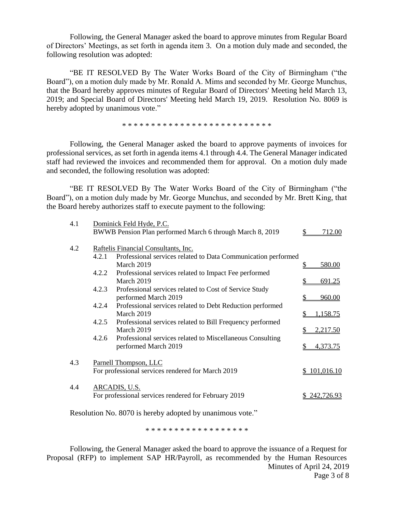Following, the General Manager asked the board to approve minutes from Regular Board of Directors' Meetings, as set forth in agenda item 3. On a motion duly made and seconded, the following resolution was adopted:

"BE IT RESOLVED By The Water Works Board of the City of Birmingham ("the Board"), on a motion duly made by Mr. Ronald A. Mims and seconded by Mr. George Munchus, that the Board hereby approves minutes of Regular Board of Directors' Meeting held March 13, 2019; and Special Board of Directors' Meeting held March 19, 2019. Resolution No. 8069 is hereby adopted by unanimous vote."

\* \* \* \* \* \* \* \* \* \* \* \* \* \* \* \* \* \* \* \* \* \* \* \* \* \*

Following, the General Manager asked the board to approve payments of invoices for professional services, as set forth in agenda items 4.1 through 4.4. The General Manager indicated staff had reviewed the invoices and recommended them for approval. On a motion duly made and seconded, the following resolution was adopted:

"BE IT RESOLVED By The Water Works Board of the City of Birmingham ("the Board"), on a motion duly made by Mr. George Munchus, and seconded by Mr. Brett King, that the Board hereby authorizes staff to execute payment to the following:

| 4.1 | Dominick Feld Hyde, P.C.             |                                                               |    |              |
|-----|--------------------------------------|---------------------------------------------------------------|----|--------------|
|     |                                      | BWWB Pension Plan performed March 6 through March 8, 2019     |    | 712.00       |
| 4.2 | Raftelis Financial Consultants, Inc. |                                                               |    |              |
|     | 4.2.1                                | Professional services related to Data Communication performed |    |              |
|     |                                      | March 2019                                                    | \$ | 580.00       |
|     | 4.2.2                                | Professional services related to Impact Fee performed         |    |              |
|     |                                      | March 2019                                                    | \$ | 691.25       |
|     | 4.2.3                                | Professional services related to Cost of Service Study        |    |              |
|     |                                      | performed March 2019                                          | \$ | 960.00       |
|     | 4.2.4                                | Professional services related to Debt Reduction performed     |    |              |
|     |                                      | March 2019                                                    | \$ | 1,158.75     |
|     | 4.2.5                                | Professional services related to Bill Frequency performed     |    |              |
|     |                                      | March 2019                                                    | \$ | 2,217.50     |
|     | 4.2.6                                | Professional services related to Miscellaneous Consulting     |    |              |
|     |                                      | performed March 2019                                          |    | 4,373.75     |
|     |                                      |                                                               |    |              |
| 4.3 | Parnell Thompson, LLC                |                                                               |    |              |
|     |                                      | For professional services rendered for March 2019             |    | \$101,016.10 |
|     |                                      |                                                               |    |              |
| 4.4 | ARCADIS, U.S.                        |                                                               |    |              |
|     |                                      | For professional services rendered for February 2019          |    | 242,726.93   |
|     |                                      |                                                               |    |              |

Resolution No. 8070 is hereby adopted by unanimous vote."

\* \* \* \* \* \* \* \* \* \* \* \* \* \* \* \* \* \*

Minutes of April 24, 2019 Page 3 of 8 Following, the General Manager asked the board to approve the issuance of a Request for Proposal (RFP) to implement SAP HR/Payroll, as recommended by the Human Resources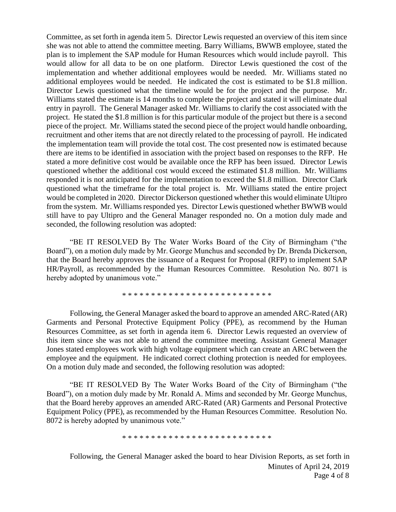Committee, as set forth in agenda item 5. Director Lewis requested an overview of this item since she was not able to attend the committee meeting. Barry Williams, BWWB employee, stated the plan is to implement the SAP module for Human Resources which would include payroll. This would allow for all data to be on one platform. Director Lewis questioned the cost of the implementation and whether additional employees would be needed. Mr. Williams stated no additional employees would be needed. He indicated the cost is estimated to be \$1.8 million. Director Lewis questioned what the timeline would be for the project and the purpose. Mr. Williams stated the estimate is 14 months to complete the project and stated it will eliminate dual entry in payroll. The General Manager asked Mr. Williams to clarify the cost associated with the project. He stated the \$1.8 million is for this particular module of the project but there is a second piece of the project. Mr. Williams stated the second piece of the project would handle onboarding, recruitment and other items that are not directly related to the processing of payroll. He indicated the implementation team will provide the total cost. The cost presented now is estimated because there are items to be identified in association with the project based on responses to the RFP. He stated a more definitive cost would be available once the RFP has been issued. Director Lewis questioned whether the additional cost would exceed the estimated \$1.8 million. Mr. Williams responded it is not anticipated for the implementation to exceed the \$1.8 million. Director Clark questioned what the timeframe for the total project is. Mr. Williams stated the entire project would be completed in 2020. Director Dickerson questioned whether this would eliminate Ultipro from the system. Mr. Williams responded yes. Director Lewis questioned whether BWWB would still have to pay Ultipro and the General Manager responded no. On a motion duly made and seconded, the following resolution was adopted:

"BE IT RESOLVED By The Water Works Board of the City of Birmingham ("the Board"), on a motion duly made by Mr. George Munchus and seconded by Dr. Brenda Dickerson, that the Board hereby approves the issuance of a Request for Proposal (RFP) to implement SAP HR/Payroll, as recommended by the Human Resources Committee. Resolution No. 8071 is hereby adopted by unanimous vote."

\* \* \* \* \* \* \* \* \* \* \* \* \* \* \* \* \* \* \* \* \* \* \* \* \* \*

Following, the General Manager asked the board to approve an amended ARC-Rated (AR) Garments and Personal Protective Equipment Policy (PPE), as recommend by the Human Resources Committee, as set forth in agenda item 6. Director Lewis requested an overview of this item since she was not able to attend the committee meeting. Assistant General Manager Jones stated employees work with high voltage equipment which can create an ARC between the employee and the equipment. He indicated correct clothing protection is needed for employees. On a motion duly made and seconded, the following resolution was adopted:

"BE IT RESOLVED By The Water Works Board of the City of Birmingham ("the Board"), on a motion duly made by Mr. Ronald A. Mims and seconded by Mr. George Munchus, that the Board hereby approves an amended ARC-Rated (AR) Garments and Personal Protective Equipment Policy (PPE), as recommended by the Human Resources Committee. Resolution No. 8072 is hereby adopted by unanimous vote."

\* \* \* \* \* \* \* \* \* \* \* \* \* \* \* \* \* \* \* \* \* \* \* \* \* \*

Minutes of April 24, 2019 Page 4 of 8 Following, the General Manager asked the board to hear Division Reports, as set forth in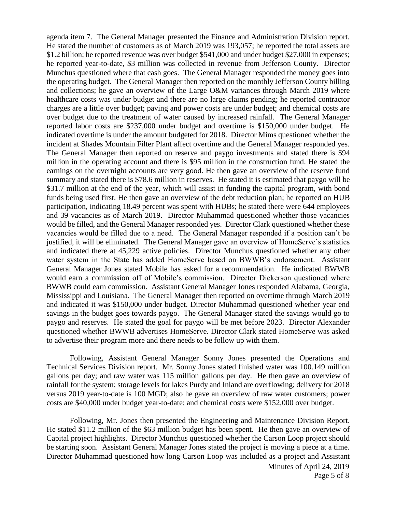agenda item 7. The General Manager presented the Finance and Administration Division report. He stated the number of customers as of March 2019 was 193,057; he reported the total assets are \$1.2 billion; he reported revenue was over budget \$541,000 and under budget \$27,000 in expenses; he reported year-to-date, \$3 million was collected in revenue from Jefferson County. Director Munchus questioned where that cash goes. The General Manager responded the money goes into the operating budget. The General Manager then reported on the monthly Jefferson County billing and collections; he gave an overview of the Large O&M variances through March 2019 where healthcare costs was under budget and there are no large claims pending; he reported contractor charges are a little over budget; paving and power costs are under budget; and chemical costs are over budget due to the treatment of water caused by increased rainfall. The General Manager reported labor costs are \$237,000 under budget and overtime is \$150,000 under budget. He indicated overtime is under the amount budgeted for 2018. Director Mims questioned whether the incident at Shades Mountain Filter Plant affect overtime and the General Manager responded yes. The General Manager then reported on reserve and paygo investments and stated there is \$94 million in the operating account and there is \$95 million in the construction fund. He stated the earnings on the overnight accounts are very good. He then gave an overview of the reserve fund summary and stated there is \$78.6 million in reserves. He stated it is estimated that paygo will be \$31.7 million at the end of the year, which will assist in funding the capital program, with bond funds being used first. He then gave an overview of the debt reduction plan; he reported on HUB participation, indicating 18.49 percent was spent with HUBs; he stated there were 644 employees and 39 vacancies as of March 2019. Director Muhammad questioned whether those vacancies would be filled, and the General Manager responded yes. Director Clark questioned whether these vacancies would be filled due to a need. The General Manager responded if a position can't be justified, it will be eliminated. The General Manager gave an overview of HomeServe's statistics and indicated there at 45,229 active policies. Director Munchus questioned whether any other water system in the State has added HomeServe based on BWWB's endorsement. Assistant General Manager Jones stated Mobile has asked for a recommendation. He indicated BWWB would earn a commission off of Mobile's commission. Director Dickerson questioned where BWWB could earn commission. Assistant General Manager Jones responded Alabama, Georgia, Mississippi and Louisiana. The General Manager then reported on overtime through March 2019 and indicated it was \$150,000 under budget. Director Muhammad questioned whether year end savings in the budget goes towards paygo. The General Manager stated the savings would go to paygo and reserves. He stated the goal for paygo will be met before 2023. Director Alexander questioned whether BWWB advertises HomeServe. Director Clark stated HomeServe was asked to advertise their program more and there needs to be follow up with them.

Following, Assistant General Manager Sonny Jones presented the Operations and Technical Services Division report. Mr. Sonny Jones stated finished water was 100.149 million gallons per day; and raw water was 115 million gallons per day. He then gave an overview of rainfall for the system; storage levels for lakes Purdy and Inland are overflowing; delivery for 2018 versus 2019 year-to-date is 100 MGD; also he gave an overview of raw water customers; power costs are \$40,000 under budget year-to-date; and chemical costs were \$152,000 over budget.

Following, Mr. Jones then presented the Engineering and Maintenance Division Report. He stated \$11.2 million of the \$63 million budget has been spent. He then gave an overview of Capital project highlights. Director Munchus questioned whether the Carson Loop project should be starting soon. Assistant General Manager Jones stated the project is moving a piece at a time. Director Muhammad questioned how long Carson Loop was included as a project and Assistant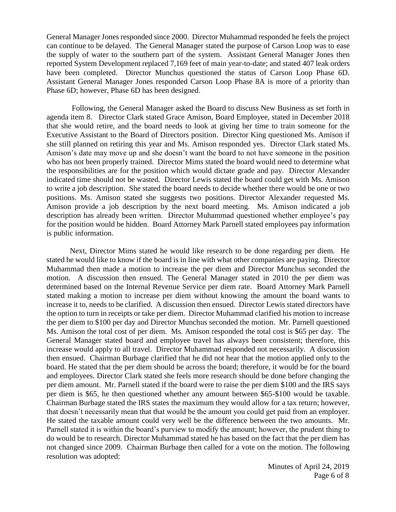General Manager Jones responded since 2000. Director Muhammad responded he feels the project can continue to be delayed. The General Manager stated the purpose of Carson Loop was to ease the supply of water to the southern part of the system. Assistant General Manager Jones then reported System Development replaced 7,169 feet of main year-to-date; and stated 407 leak orders have been completed. Director Munchus questioned the status of Carson Loop Phase 6D. Assistant General Manager Jones responded Carson Loop Phase 8A is more of a priority than Phase 6D; however, Phase 6D has been designed.

Following, the General Manager asked the Board to discuss New Business as set forth in agenda item 8. Director Clark stated Grace Amison, Board Employee, stated in December 2018 that she would retire, and the board needs to look at giving her time to train someone for the Executive Assistant to the Board of Directors position. Director King questioned Ms. Amison if she still planned on retiring this year and Ms. Amison responded yes. Director Clark stated Ms. Amison's date may move up and she doesn't want the board to not have someone in the position who has not been properly trained. Director Mims stated the board would need to determine what the responsibilities are for the position which would dictate grade and pay. Director Alexander indicated time should not be wasted. Director Lewis stated the board could get with Ms. Amison to write a job description. She stated the board needs to decide whether there would be one or two positions. Ms. Amison stated she suggests two positions. Director Alexander requested Ms. Amison provide a job description by the next board meeting. Ms. Amison indicated a job description has already been written. Director Muhammad questioned whether employee's pay for the position would be hidden. Board Attorney Mark Parnell stated employees pay information is public information.

Next, Director Mims stated he would like research to be done regarding per diem. He stated he would like to know if the board is in line with what other companies are paying. Director Muhammad then made a motion to increase the per diem and Director Munchus seconded the motion. A discussion then ensued. The General Manager stated in 2010 the per diem was determined based on the Internal Revenue Service per diem rate. Board Attorney Mark Parnell stated making a motion to increase per diem without knowing the amount the board wants to increase it to, needs to be clarified. A discussion then ensued. Director Lewis stated directors have the option to turn in receipts or take per diem. Director Muhammad clarified his motion to increase the per diem to \$100 per day and Director Munchus seconded the motion. Mr. Parnell questioned Ms. Amison the total cost of per diem. Ms. Amison responded the total cost is \$65 per day. The General Manager stated board and employee travel has always been consistent; therefore, this increase would apply to all travel. Director Muhammad responded not necessarily. A discussion then ensued. Chairman Burbage clarified that he did not hear that the motion applied only to the board. He stated that the per diem should be across the board; therefore, it would be for the board and employees. Director Clark stated she feels more research should be done before changing the per diem amount. Mr. Parnell stated if the board were to raise the per diem \$100 and the IRS says per diem is \$65, he then questioned whether any amount between \$65-\$100 would be taxable. Chairman Burbage stated the IRS states the maximum they would allow for a tax return; however, that doesn't necessarily mean that that would be the amount you could get paid from an employer. He stated the taxable amount could very well be the difference between the two amounts. Mr. Parnell stated it is within the board's purview to modify the amount; however, the prudent thing to do would be to research. Director Muhammad stated he has based on the fact that the per diem has not changed since 2009. Chairman Burbage then called for a vote on the motion. The following resolution was adopted:

> Minutes of April 24, 2019 Page 6 of 8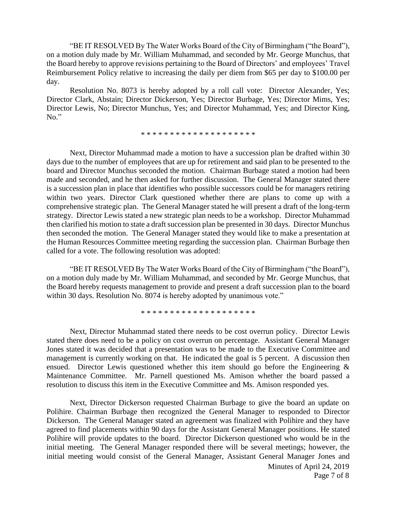"BE IT RESOLVED By The Water Works Board of the City of Birmingham ("the Board"), on a motion duly made by Mr. William Muhammad, and seconded by Mr. George Munchus, that the Board hereby to approve revisions pertaining to the Board of Directors' and employees' Travel Reimbursement Policy relative to increasing the daily per diem from \$65 per day to \$100.00 per day.

Resolution No. 8073 is hereby adopted by a roll call vote: Director Alexander, Yes; Director Clark, Abstain; Director Dickerson, Yes; Director Burbage, Yes; Director Mims, Yes; Director Lewis, No; Director Munchus, Yes; and Director Muhammad, Yes; and Director King, No."

\* \* \* \* \* \* \* \* \* \* \* \* \* \* \* \* \* \* \* \*

Next, Director Muhammad made a motion to have a succession plan be drafted within 30 days due to the number of employees that are up for retirement and said plan to be presented to the board and Director Munchus seconded the motion. Chairman Burbage stated a motion had been made and seconded, and he then asked for further discussion. The General Manager stated there is a succession plan in place that identifies who possible successors could be for managers retiring within two years. Director Clark questioned whether there are plans to come up with a comprehensive strategic plan. The General Manager stated he will present a draft of the long-term strategy. Director Lewis stated a new strategic plan needs to be a workshop. Director Muhammad then clarified his motion to state a draft succession plan be presented in 30 days. Director Munchus then seconded the motion. The General Manager stated they would like to make a presentation at the Human Resources Committee meeting regarding the succession plan. Chairman Burbage then called for a vote. The following resolution was adopted:

"BE IT RESOLVED By The Water Works Board of the City of Birmingham ("the Board"), on a motion duly made by Mr. William Muhammad, and seconded by Mr. George Munchus, that the Board hereby requests management to provide and present a draft succession plan to the board within 30 days. Resolution No. 8074 is hereby adopted by unanimous vote."

\* \* \* \* \* \* \* \* \* \* \* \* \* \* \* \* \* \* \* \*

Next, Director Muhammad stated there needs to be cost overrun policy. Director Lewis stated there does need to be a policy on cost overrun on percentage. Assistant General Manager Jones stated it was decided that a presentation was to be made to the Executive Committee and management is currently working on that. He indicated the goal is 5 percent. A discussion then ensued. Director Lewis questioned whether this item should go before the Engineering & Maintenance Committee. Mr. Parnell questioned Ms. Amison whether the board passed a resolution to discuss this item in the Executive Committee and Ms. Amison responded yes.

Next, Director Dickerson requested Chairman Burbage to give the board an update on Polihire. Chairman Burbage then recognized the General Manager to responded to Director Dickerson. The General Manager stated an agreement was finalized with Polihire and they have agreed to find placements within 90 days for the Assistant General Manager positions. He stated Polihire will provide updates to the board. Director Dickerson questioned who would be in the initial meeting. The General Manager responded there will be several meetings; however, the initial meeting would consist of the General Manager, Assistant General Manager Jones and